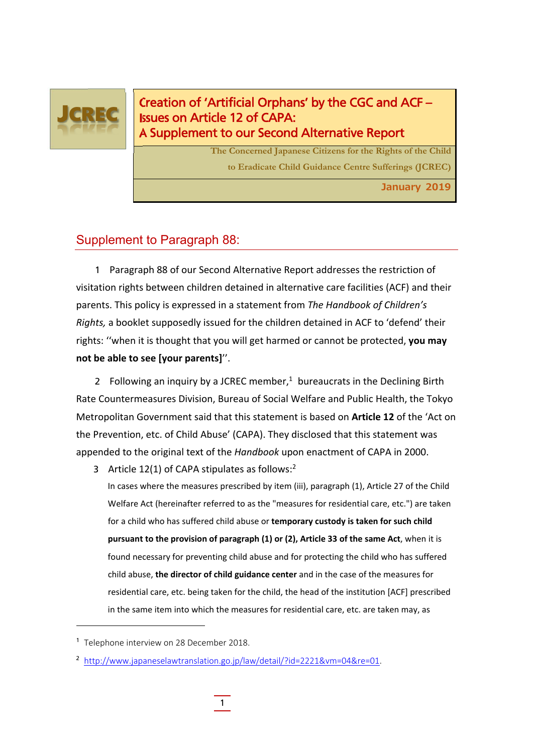

Creation of 'Artificial Orphans' by the CGC and ACF – Issues on Article 12 of CAPA: A Supplement to our Second Alternative Report

> **The Concerned Japanese Citizens for the Rights of the Child to Eradicate Child Guidance Centre Sufferings (JCREC)**

> > **January 2019**

## Supplement to Paragraph 88:

1 Paragraph 88 of our Second Alternative Report addresses the restriction of visitation rights between children detained in alternative care facilities (ACF) and their parents. This policy is expressed in a statement from *The Handbook of Children's Rights,* a booklet supposedly issued for the children detained in ACF to 'defend' their rights: ''when it is thought that you will get harmed or cannot be protected, **you may not be able to see [your parents]**''.

2 Following an inquiry by a JCREC member, $1$  bureaucrats in the Declining Birth Rate Countermeasures Division, Bureau of Social Welfare and Public Health, the Tokyo Metropolitan Government said that this statement is based on **Article 12** of the 'Act on the Prevention, etc. of Child Abuse' (CAPA). They disclosed that this statement was appended to the original text of the *Handbook* upon enactment of CAPA in 2000.

3 Article 12(1) of CAPA stipulates as follows:2

In cases where the measures prescribed by item (iii), paragraph (1), Article 27 of the Child Welfare Act (hereinafter referred to as the "measures for residential care, etc.") are taken for a child who has suffered child abuse or **temporary custody is taken for such child pursuant to the provision of paragraph (1) or (2), Article 33 of the same Act**, when it is found necessary for preventing child abuse and for protecting the child who has suffered child abuse, **the director of child guidance center** and in the case of the measures for residential care, etc. being taken for the child, the head of the institution [ACF] prescribed in the same item into which the measures for residential care, etc. are taken may, as

<sup>&</sup>lt;sup>1</sup> Telephone interview on 28 December 2018.

<sup>&</sup>lt;sup>2</sup> http://www.japaneselawtranslation.go.jp/law/detail/?id=2221&vm=04&re=01.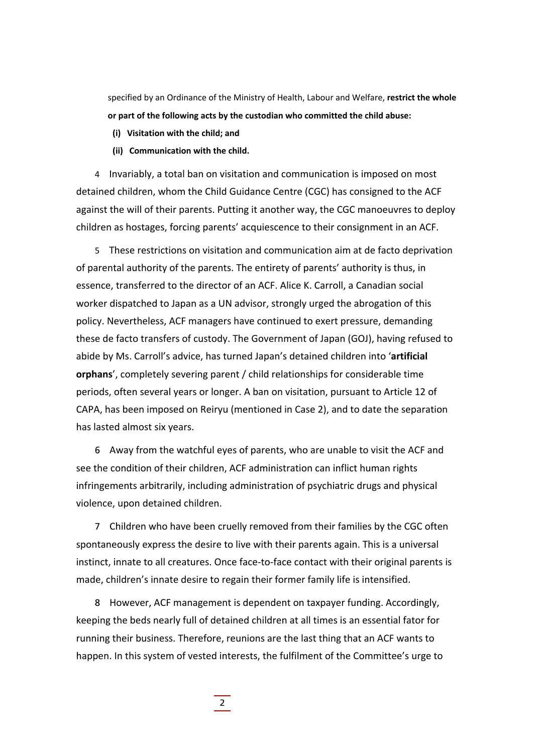specified by an Ordinance of the Ministry of Health, Labour and Welfare, **restrict the whole or part of the following acts by the custodian who committed the child abuse:**

- **(i) Visitation with the child; and**
- **(ii) Communication with the child.**

4 Invariably, a total ban on visitation and communication is imposed on most detained children, whom the Child Guidance Centre (CGC) has consigned to the ACF against the will of their parents. Putting it another way, the CGC manoeuvres to deploy children as hostages, forcing parents' acquiescence to their consignment in an ACF.

5 These restrictions on visitation and communication aim at de facto deprivation of parental authority of the parents. The entirety of parents' authority is thus, in essence, transferred to the director of an ACF. Alice K. Carroll, a Canadian social worker dispatched to Japan as a UN advisor, strongly urged the abrogation of this policy. Nevertheless, ACF managers have continued to exert pressure, demanding these de facto transfers of custody. The Government of Japan (GOJ), having refused to abide by Ms. Carroll's advice, has turned Japan's detained children into '**artificial orphans**', completely severing parent / child relationships for considerable time periods, often several years or longer. A ban on visitation, pursuant to Article 12 of CAPA, has been imposed on Reiryu (mentioned in Case 2), and to date the separation has lasted almost six years.

6 Away from the watchful eyes of parents, who are unable to visit the ACF and see the condition of their children, ACF administration can inflict human rights infringements arbitrarily, including administration of psychiatric drugs and physical violence, upon detained children.

7 Children who have been cruelly removed from their families by the CGC often spontaneously express the desire to live with their parents again. This is a universal instinct, innate to all creatures. Once face-to-face contact with their original parents is made, children's innate desire to regain their former family life is intensified.

8 However, ACF management is dependent on taxpayer funding. Accordingly, keeping the beds nearly full of detained children at all times is an essential fator for running their business. Therefore, reunions are the last thing that an ACF wants to happen. In this system of vested interests, the fulfilment of the Committee's urge to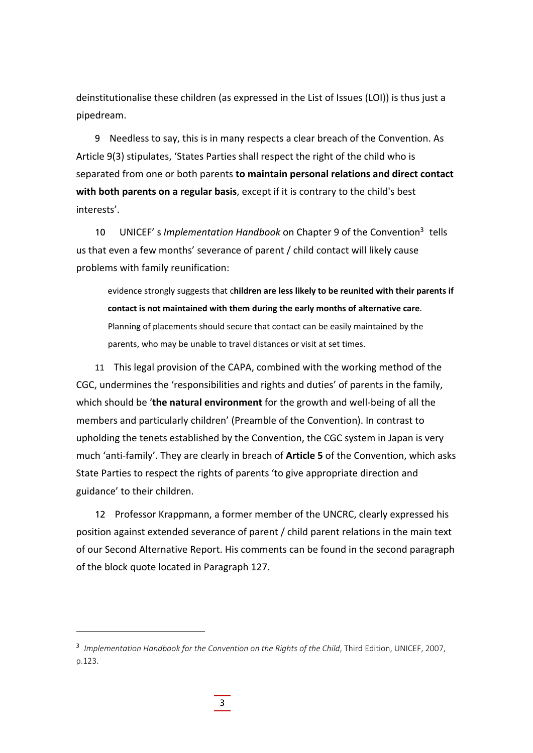deinstitutionalise these children (as expressed in the List of Issues (LOI)) is thus just a pipedream.

9 Needless to say, this is in many respects a clear breach of the Convention. As Article 9(3) stipulates, 'States Parties shall respect the right of the child who is separated from one or both parents **to maintain personal relations and direct contact with both parents on a regular basis**, except if it is contrary to the child's best interests'.

10 UNICEF' s *Implementation Handbook* on Chapter 9 of the Convention3 tells us that even a few months' severance of parent / child contact will likely cause problems with family reunification:

evidence strongly suggests that c**hildren are less likely to be reunited with their parents if contact is not maintained with them during the early months of alternative care**. Planning of placements should secure that contact can be easily maintained by the parents, who may be unable to travel distances or visit at set times.

11 This legal provision of the CAPA, combined with the working method of the CGC, undermines the 'responsibilities and rights and duties' of parents in the family, which should be '**the natural environment** for the growth and well‐being of all the members and particularly children' (Preamble of the Convention). In contrast to upholding the tenets established by the Convention, the CGC system in Japan is very much 'anti‐family'. They are clearly in breach of **Article 5** of the Convention, which asks State Parties to respect the rights of parents 'to give appropriate direction and guidance' to their children.

12 Professor Krappmann, a former member of the UNCRC, clearly expressed his position against extended severance of parent / child parent relations in the main text of our Second Alternative Report. His comments can be found in the second paragraph of the block quote located in Paragraph 127.

<sup>&</sup>lt;sup>3</sup> Implementation Handbook for the Convention on the Rights of the Child, Third Edition, UNICEF, 2007, p.123.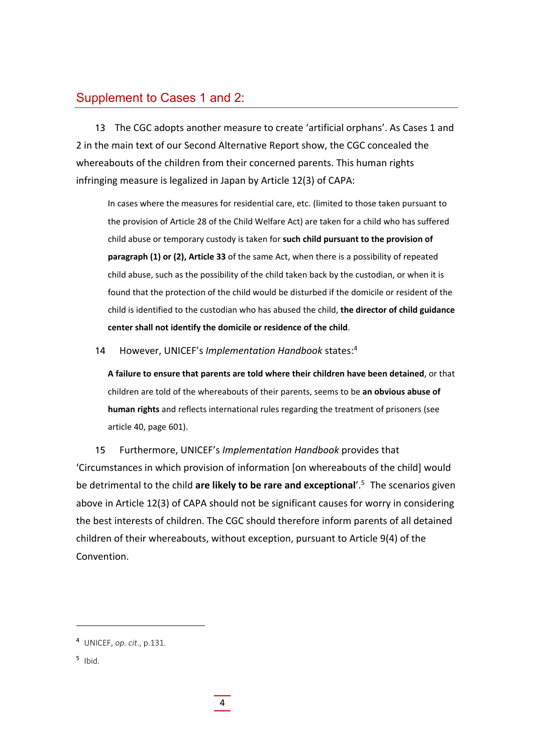## Supplement to Cases 1 and 2:

13 The CGC adopts another measure to create 'artificial orphans'. As Cases 1 and 2 in the main text of our Second Alternative Report show, the CGC concealed the whereabouts of the children from their concerned parents. This human rights infringing measure is legalized in Japan by Article 12(3) of CAPA:

In cases where the measures for residential care, etc. (limited to those taken pursuant to the provision of Article 28 of the Child Welfare Act) are taken for a child who has suffered child abuse or temporary custody is taken for **such child pursuant to the provision of paragraph (1) or (2), Article 33** of the same Act, when there is a possibility of repeated child abuse, such as the possibility of the child taken back by the custodian, or when it is found that the protection of the child would be disturbed if the domicile or resident of the child is identified to the custodian who has abused the child, **the director of child guidance center shall not identify the domicile or residence of the child**.

14 However, UNICEF's *Implementation Handbook* states:4

**A failure to ensure that parents are told where their children have been detained**, or that children are told of the whereabouts of their parents, seems to be **an obvious abuse of human rights** and reflects international rules regarding the treatment of prisoners (see article 40, page 601).

15 Furthermore, UNICEF's *Implementation Handbook* provides that 'Circumstances in which provision of information [on whereabouts of the child] would be detrimental to the child **are likely to be rare and exceptional**'.5 The scenarios given above in Article 12(3) of CAPA should not be significant causes for worry in considering the best interests of children. The CGC should therefore inform parents of all detained children of their whereabouts, without exception, pursuant to Article 9(4) of the Convention.

 $5$  Ibid.

<sup>4</sup> UNICEF, *op. cit*., p.131.